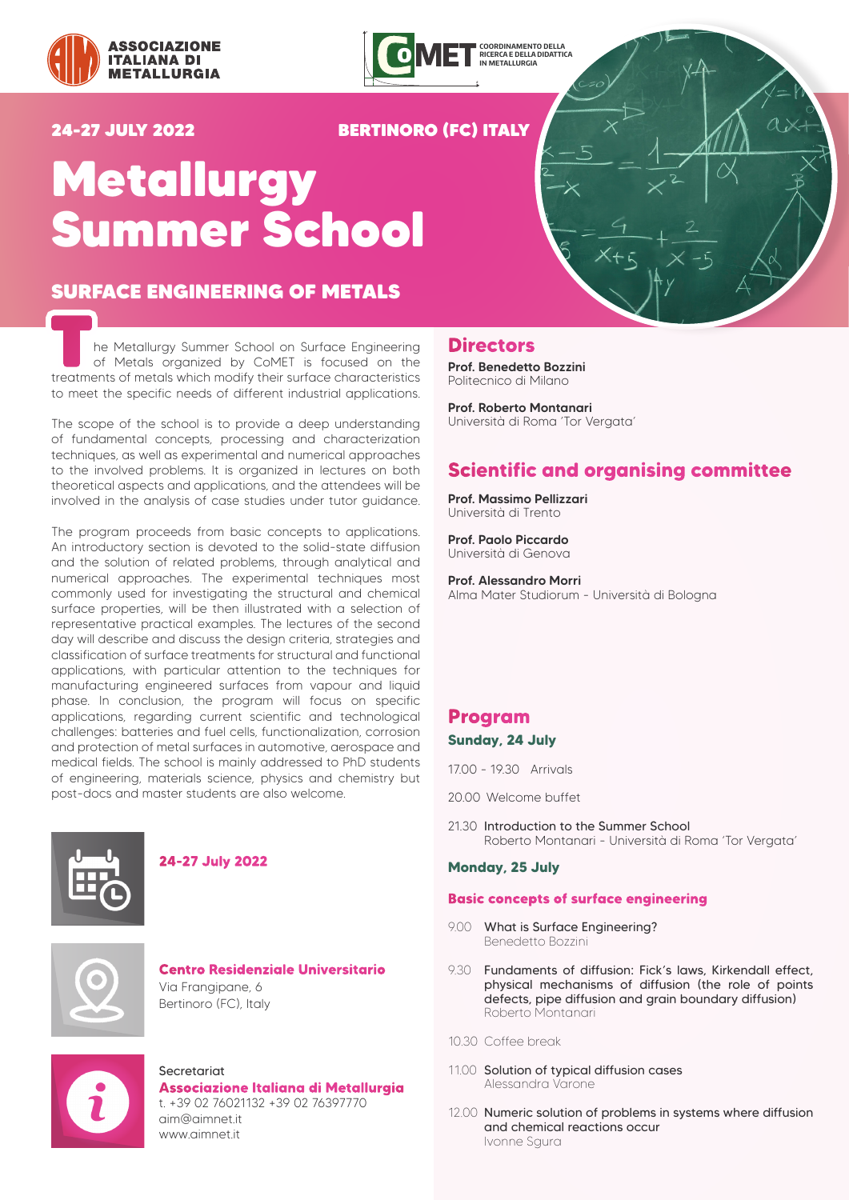



## 24-27 JULY 2022 BERTINORO (FC) ITALY

# Metallurgy Summer School

# SURFACE ENGINEERING OF METALS

The Metallurgy Summer School on Surface Engineering<br>
of Metals organized by CoMET is focused on the<br>
treatments of metals which modify their surface characteristics of Metals organized by CoMET is focused on the to meet the specific needs of different industrial applications.

The scope of the school is to provide a deep understanding of fundamental concepts, processing and characterization techniques, as well as experimental and numerical approaches to the involved problems. It is organized in lectures on both theoretical aspects and applications, and the attendees will be involved in the analysis of case studies under tutor guidance.

The program proceeds from basic concepts to applications. An introductory section is devoted to the solid-state diffusion and the solution of related problems, through analytical and numerical approaches. The experimental techniques most commonly used for investigating the structural and chemical surface properties, will be then illustrated with a selection of representative practical examples. The lectures of the second day will describe and discuss the design criteria, strategies and classification of surface treatments for structural and functional applications, with particular attention to the techniques for manufacturing engineered surfaces from vapour and liquid phase. In conclusion, the program will focus on specific applications, regarding current scientific and technological challenges: batteries and fuel cells, functionalization, corrosion and protection of metal surfaces in automotive, aerospace and medical fields. The school is mainly addressed to PhD students of engineering, materials science, physics and chemistry but post-docs and master students are also welcome.



## **24-27 July 2022**



**Centro Residenziale Universitario** Via Frangipane, 6 Bertinoro (FC), Italy



## Secretariat

**Associazione Italiana di Metallurgia** t. +39 02 76021132 +39 02 76397770 aim@aimnet.it www.aimnet.it

# **Directors**

Prof. Benedetto Bozzini Politecnico di Milano

Prof. Roberto Montanari Università di Roma 'Tor Vergata'

# **Scientific and organising committee**

Prof. Massimo Pellizzari Università di Trento

Prof. Paolo Piccardo Università di Genova

Prof. Alessandro Morri Alma Mater Studiorum - Università di Bologna

## **Program**

**Sunday, 24 July**

17.00 - 19.30 Arrivals

- 20.00 Welcome buffet
- 21.30 Introduction to the Summer School Roberto Montanari - Università di Roma 'Tor Vergata'

#### **Monday, 25 July**

#### **Basic concepts of surface engineering**

- 9.00 What is Surface Engineering? Benedetto Bozzini
- 9.30 Fundaments of diffusion: Fick's laws, Kirkendall effect, physical mechanisms of diffusion (the role of points defects, pipe diffusion and grain boundary diffusion) Roberto Montanari
- 10.30 Coffee break
- 11.00 Solution of typical diffusion cases Alessandra Varone
- 12.00 Numeric solution of problems in systems where diffusion and chemical reactions occur Ivonne Sgura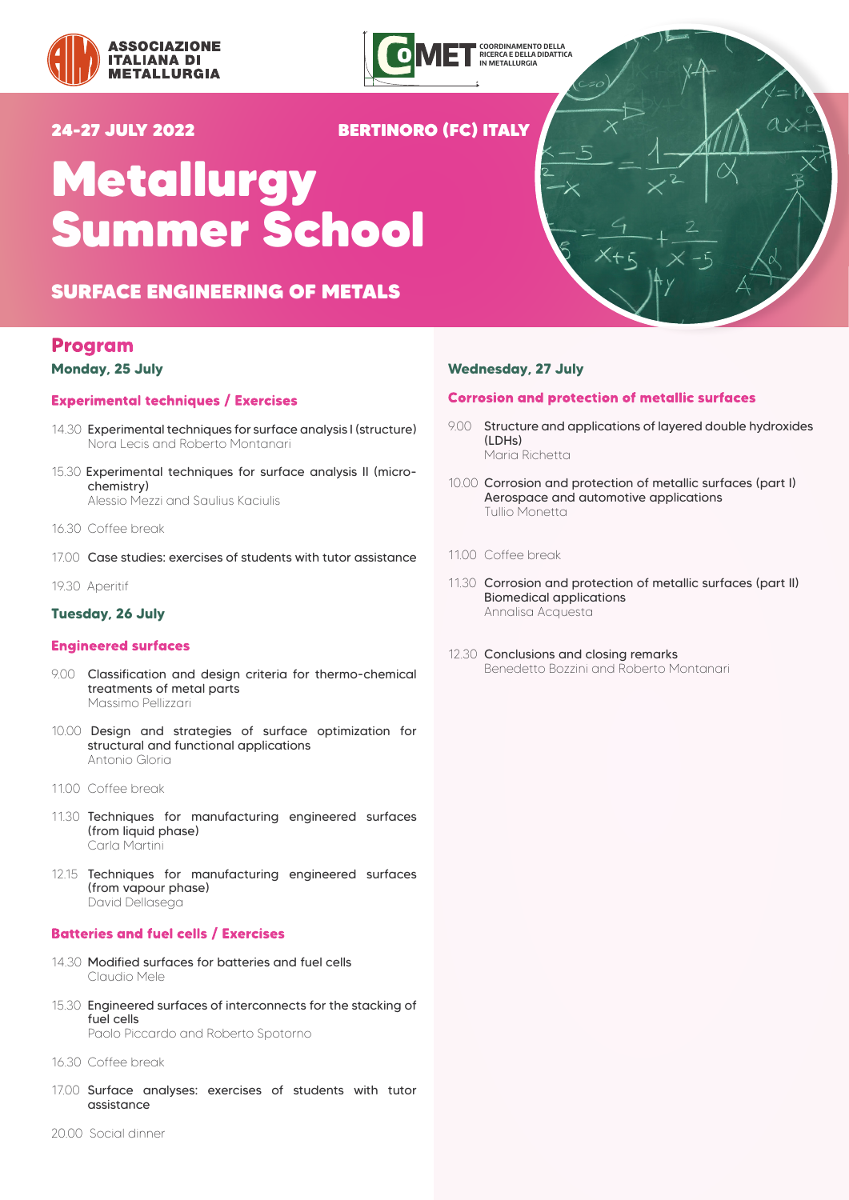



# 24-27 JULY 2022 BERTINORO (FC) ITALY

# Metallurgy Summer School

# SURFACE ENGINEERING OF METALS

# **Program**

#### **Monday, 25 July**

#### **Experimental techniques / Exercises**

- 14.30 Experimental techniques for surface analysis I (structure) Nora Lecis and Roberto Montanari
- 15.30 Experimental techniques for surface analysis II (microchemistry) Alessio Mezzi and Saulius Kaciulis

- 16.30 Coffee break
- 17.00 Case studies: exercises of students with tutor assistance
- 19.30 Aperitif

#### **Tuesday, 26 July**

#### **Engineered surfaces**

- 9.00 Classification and design criteria for thermo-chemical treatments of metal parts Massimo Pellizzari
- 10.00 Design and strategies of surface optimization for structural and functional applications Antonio Gloria
- 11.00 Coffee break
- 11.30 Techniques for manufacturing engineered surfaces (from liquid phase) Carla Martini
- 12.15 Techniques for manufacturing engineered surfaces (from vapour phase) David Dellasega

#### **Batteries and fuel cells / Exercises**

- 14.30 Modified surfaces for batteries and fuel cells Claudio Mele
- 15.30 Engineered surfaces of interconnects for the stacking of fuel cells Paolo Piccardo and Roberto Spotorno
- 16.30 Coffee break
- 17.00 Surface analyses: exercises of students with tutor assistance

#### **Wednesday, 27 July**

#### **Corrosion and protection of metallic surfaces**

- 9.00 Structure and applications of layered double hydroxides (LDHs) Maria Richetta
- 10.00 Corrosion and protection of metallic surfaces (part I) Aerospace and automotive applications Tullio Monetta
- 11.00 Coffee break
- 11.30 Corrosion and protection of metallic surfaces (part II) Biomedical applications Annalisa Acquesta
- 12.30 Conclusions and closing remarks Benedetto Bozzini and Roberto Montanari

20.00 Social dinner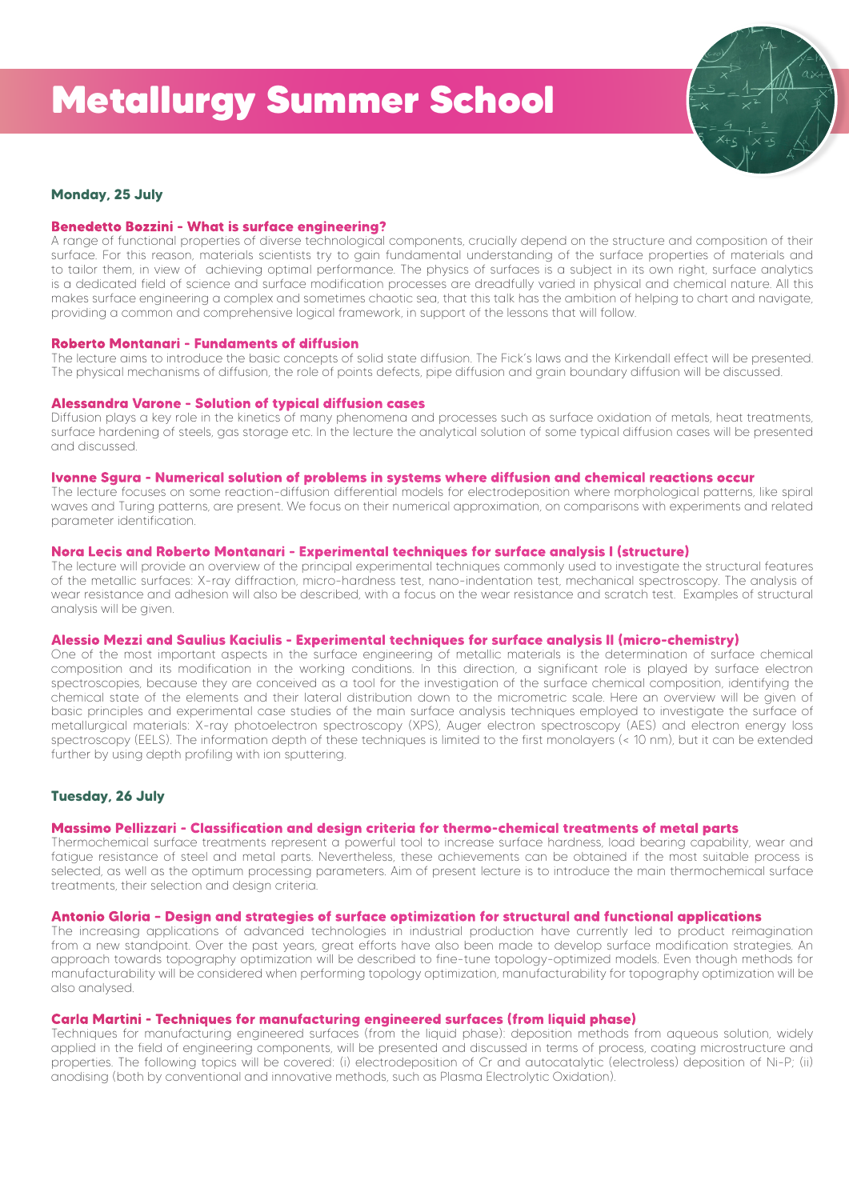

### **Monday, 25 July**

#### **Benedetto Bozzini - What is surface engineering?**

A range of functional properties of diverse technological components, crucially depend on the structure and composition of their surface. For this reason, materials scientists try to gain fundamental understanding of the surface properties of materials and to tailor them, in view of achieving optimal performance. The physics of surfaces is a subject in its own right, surface analytics is a dedicated field of science and surface modification processes are dreadfully varied in physical and chemical nature. All this makes surface engineering a complex and sometimes chaotic sea, that this talk has the ambition of helping to chart and navigate, providing a common and comprehensive logical framework, in support of the lessons that will follow.

#### **Roberto Montanari - Fundaments of diffusion**

The lecture aims to introduce the basic concepts of solid state diffusion. The Fick's laws and the Kirkendall effect will be presented. The physical mechanisms of diffusion, the role of points defects, pipe diffusion and grain boundary diffusion will be discussed.

#### **Alessandra Varone - Solution of typical diffusion cases**

Diffusion plays a key role in the kinetics of many phenomena and processes such as surface oxidation of metals, heat treatments, surface hardening of steels, gas storage etc. In the lecture the analytical solution of some typical diffusion cases will be presented and discussed.

#### **Ivonne Sgura - Numerical solution of problems in systems where diffusion and chemical reactions occur**

The lecture focuses on some reaction-diffusion differential models for electrodeposition where morphological patterns, like spiral waves and Turing patterns, are present. We focus on their numerical approximation, on comparisons with experiments and related parameter identification.

#### **Nora Lecis and Roberto Montanari - Experimental techniques for surface analysis I (structure)**

The lecture will provide an overview of the principal experimental techniques commonly used to investigate the structural features of the metallic surfaces: X-ray diffraction, micro-hardness test, nano-indentation test, mechanical spectroscopy. The analysis of wear resistance and adhesion will also be described, with a focus on the wear resistance and scratch test. Examples of structural analysis will be given.

#### **Alessio Mezzi and Saulius Kaciulis - Experimental techniques for surface analysis II (micro-chemistry)**

One of the most important aspects in the surface engineering of metallic materials is the determination of surface chemical composition and its modification in the working conditions. In this direction, a significant role is played by surface electron spectroscopies, because they are conceived as a tool for the investigation of the surface chemical composition, identifying the chemical state of the elements and their lateral distribution down to the micrometric scale. Here an overview will be given of basic principles and experimental case studies of the main surface analysis techniques employed to investigate the surface of metallurgical materials: X-ray photoelectron spectroscopy (XPS), Auger electron spectroscopy (AES) and electron energy loss spectroscopy (EELS). The information depth of these techniques is limited to the first monolayers (< 10 nm), but it can be extended further by using depth profiling with ion sputtering.

#### **Tuesday, 26 July**

#### **Massimo Pellizzari - Classification and design criteria for thermo-chemical treatments of metal parts**

Thermochemical surface treatments represent a powerful tool to increase surface hardness, load bearing capability, wear and fatigue resistance of steel and metal parts. Nevertheless, these achievements can be obtained if the most suitable process is selected, as well as the optimum processing parameters. Aim of present lecture is to introduce the main thermochemical surface treatments, their selection and design criteria.

#### **Antonio Gloria – Design and strategies of surface optimization for structural and functional applications**

The increasing applications of advanced technologies in industrial production have currently led to product reimagination from a new standpoint. Over the past years, great efforts have also been made to develop surface modification strategies. An approach towards topography optimization will be described to fine-tune topology-optimized models. Even though methods for manufacturability will be considered when performing topology optimization, manufacturability for topography optimization will be also analysed.

#### **Carla Martini - Techniques for manufacturing engineered surfaces (from liquid phase)**

Techniques for manufacturing engineered surfaces (from the liquid phase): deposition methods from aqueous solution, widely applied in the field of engineering components, will be presented and discussed in terms of process, coating microstructure and properties. The following topics will be covered: (i) electrodeposition of Cr and autocatalytic (electroless) deposition of Ni-P; (ii) anodising (both by conventional and innovative methods, such as Plasma Electrolytic Oxidation).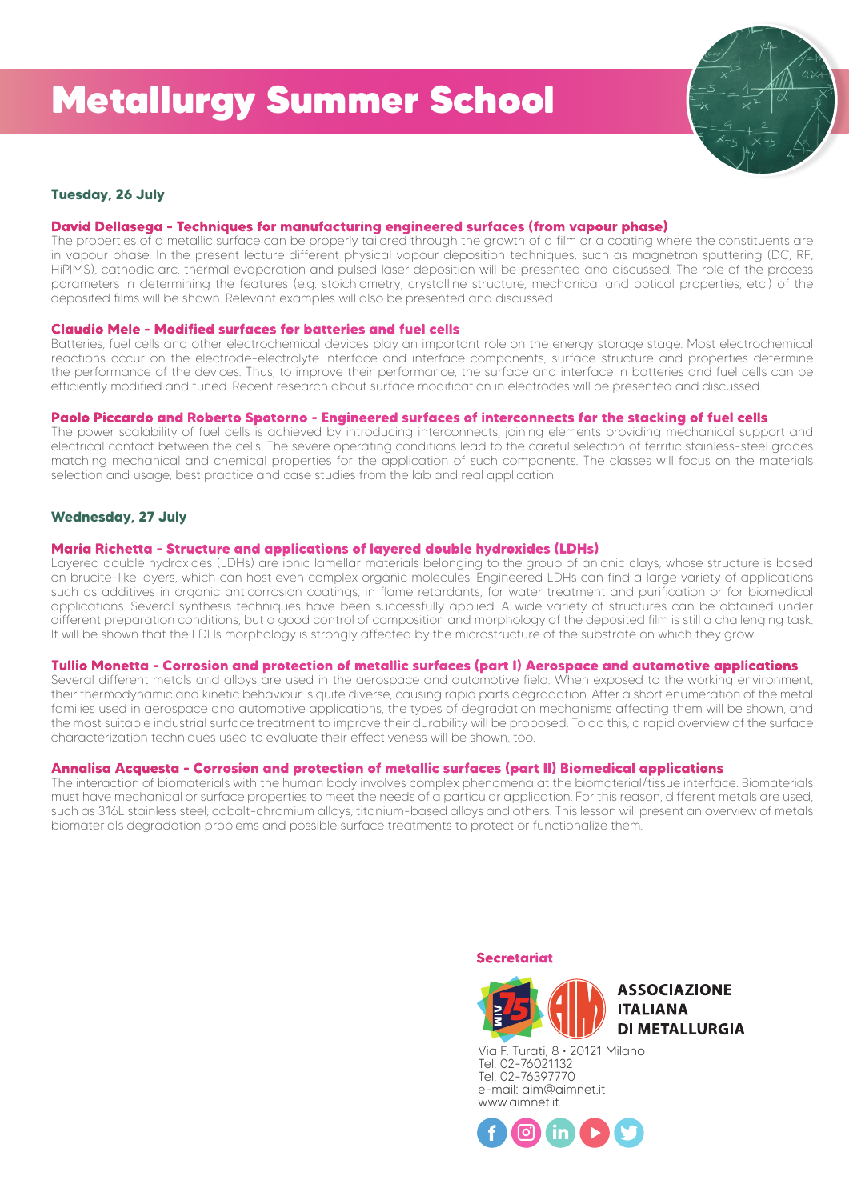

### **Tuesday, 26 July**

#### **David Dellasega - Techniques for manufacturing engineered surfaces (from vapour phase)**

The properties of a metallic surface can be properly tailored through the growth of a film or a coating where the constituents are in vapour phase. In the present lecture different physical vapour deposition techniques, such as magnetron sputtering (DC, RF, HiPIMS), cathodic arc, thermal evaporation and pulsed laser deposition will be presented and discussed. The role of the process parameters in determining the features (e.g. stoichiometry, crystalline structure, mechanical and optical properties, etc.) of the deposited films will be shown. Relevant examples will also be presented and discussed.

#### **Claudio Mele - Modified surfaces for batteries and fuel cells**

Batteries, fuel cells and other electrochemical devices play an important role on the energy storage stage. Most electrochemical reactions occur on the electrode-electrolyte interface and interface components, surface structure and properties determine the performance of the devices. Thus, to improve their performance, the surface and interface in batteries and fuel cells can be efficiently modified and tuned. Recent research about surface modification in electrodes will be presented and discussed.

#### **Paolo Piccardo and Roberto Spotorno - Engineered surfaces of interconnects for the stacking of fuel cells**

The power scalability of fuel cells is achieved by introducing interconnects, joining elements providing mechanical support and electrical contact between the cells. The severe operating conditions lead to the careful selection of ferritic stainless-steel grades matching mechanical and chemical properties for the application of such components. The classes will focus on the materials selection and usage, best practice and case studies from the lab and real application.

#### **Wednesday, 27 July**

#### **Maria Richetta - Structure and applications of layered double hydroxides (LDHs)**

Layered double hydroxides (LDHs) are ionic lamellar materials belonging to the group of anionic clays, whose structure is based on brucite-like layers, which can host even complex organic molecules. Engineered LDHs can find a large variety of applications such as additives in organic anticorrosion coatings, in flame retardants, for water treatment and purification or for biomedical applications. Several synthesis techniques have been successfully applied. A wide variety of structures can be obtained under different preparation conditions, but a good control of composition and morphology of the deposited film is still a challenging task. It will be shown that the LDHs morphology is strongly affected by the microstructure of the substrate on which they grow.

#### **Tullio Monetta - Corrosion and protection of metallic surfaces (part I) Aerospace and automotive applications**

Several different metals and alloys are used in the aerospace and automotive field. When exposed to the working environment, their thermodynamic and kinetic behaviour is quite diverse, causing rapid parts degradation. After a short enumeration of the metal families used in aerospace and automotive applications, the types of degradation mechanisms affecting them will be shown, and the most suitable industrial surface treatment to improve their durability will be proposed. To do this, a rapid overview of the surface characterization techniques used to evaluate their effectiveness will be shown, too.

#### **Annalisa Acquesta - Corrosion and protection of metallic surfaces (part II) Biomedical applications**

The interaction of biomaterials with the human body involves complex phenomena at the biomaterial/tissue interface. Biomaterials must have mechanical or surface properties to meet the needs of a particular application. For this reason, different metals are used, such as 316L stainless steel, cobalt-chromium alloys, titanium-based alloys and others. This lesson will present an overview of metals biomaterials degradation problems and possible surface treatments to protect or functionalize them.



Via F. Turati, 8 · 20121 Milano Tel. 02-76021132 Tel. 02-76397770 e-mail: aim@aimnet.it www.aimnet.it

**Secretariat**